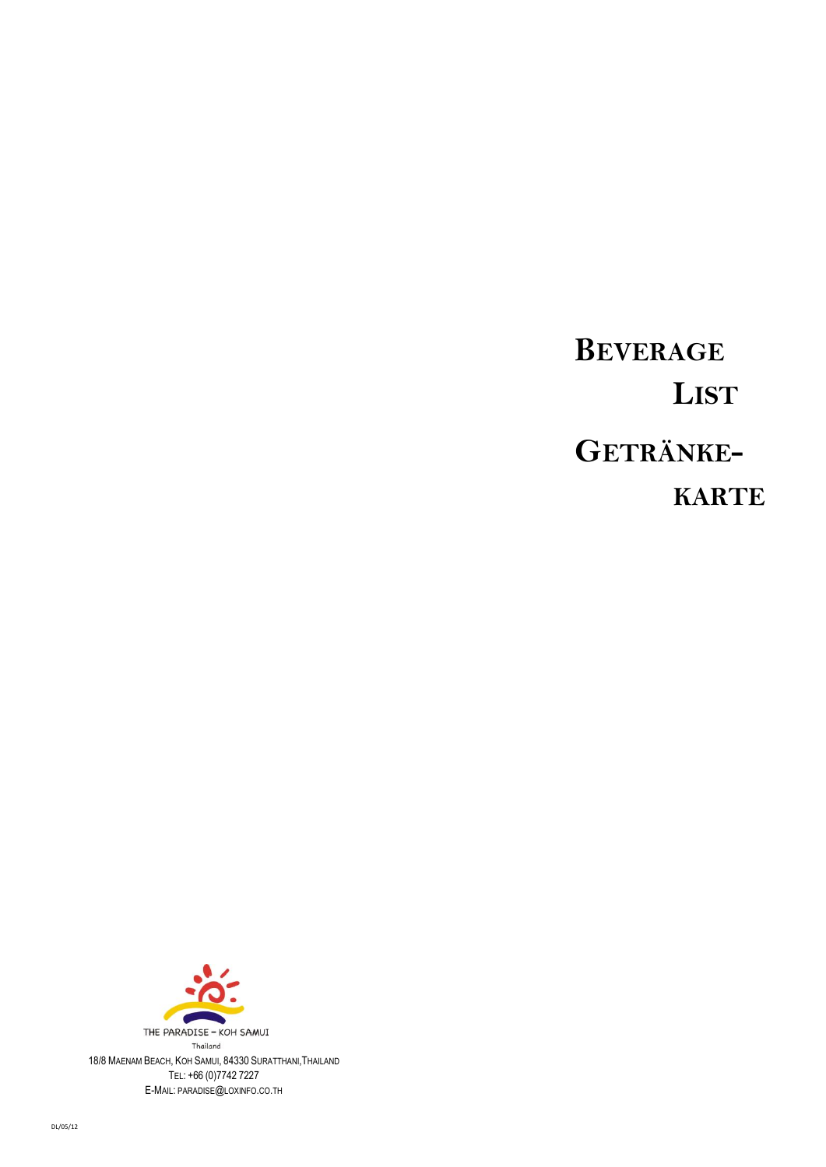# **BEVERAGE LIST GETRÄNKE-KARTE**

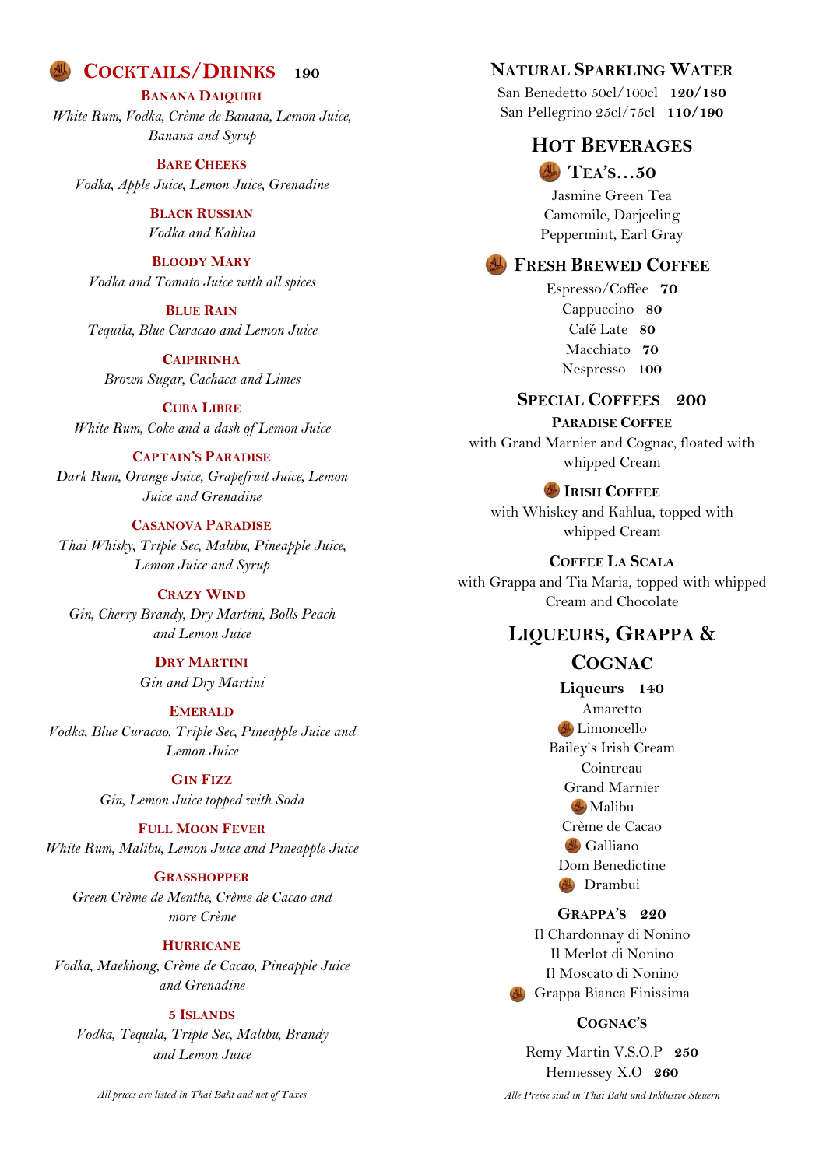# **COCKTAILS/DRINKS 190**

#### **BANANA DAIQUIRI**

*White Rum, Vodka, Crème de Banana, Lemon Juice, Banana and Syrup*

#### **BARE CHEEKS**

*Vodka, Apple Juice, Lemon Juice, Grenadine*

**BLACK RUSSIAN** *Vodka and Kahlua*

#### **BLOODY MARY**

*Vodka and Tomato Juice with all spices*

#### **BLUE RAIN**

*Tequila, Blue Curacao and Lemon Juice*

**CAIPIRINHA** *Brown Sugar, Cachaca and Limes*

**CUBA LIBRE** *White Rum, Coke and a dash of Lemon Juice*

#### **CAPTAIN'S PARADISE**

*Dark Rum, Orange Juice, Grapefruit Juice, Lemon Juice and Grenadine*

#### **CASANOVA PARADISE**

*Thai Whisky, Triple Sec, Malibu, Pineapple Juice, Lemon Juice and Syrup*

#### **CRAZY WIND**

*Gin, Cherry Brandy, Dry Martini, Bolls Peach and Lemon Juice*

> **DRY MARTINI** *Gin and Dry Martini*

#### **EMERALD**

*Vodka, Blue Curacao, Triple Sec, Pineapple Juice and Lemon Juice*

### **GIN FIZZ**

*Gin, Lemon Juice topped with Soda*

# **FULL MOON FEVER**

*White Rum, Malibu, Lemon Juice and Pineapple Juice*

#### **GRASSHOPPER**

*Green Crème de Menthe, Crème de Cacao and more Crème*

#### **HURRICANE**

*Vodka, Maekhong, Crème de Cacao, Pineapple Juice and Grenadine*

#### **5 ISLANDS**

*Vodka, Tequila, Triple Sec, Malibu, Brandy and Lemon Juice*

*All prices are listed in Thai Baht and net of Taxes*

# **NATURAL SPARKLING WATER**

San Benedetto 50cl/100cl **120/180** San Pellegrino 25cl/75cl **110/190**

# **HOT BEVERAGES**

**TEA'S…50** Jasmine Green Tea Camomile, Darjeeling Peppermint, Earl Gray

#### **FRESH BREWED COFFEE**

Espresso/Coffee **70** Cappuccino **80** Café Late **80** Macchiato **70** Nespresso **100**

#### **SPECIAL COFFEES 200**

# **PARADISE COFFEE**

with Grand Marnier and Cognac, floated with whipped Cream

#### **IRISH COFFEE**

with Whiskey and Kahlua, topped with whipped Cream

#### **COFFEE LA SCALA**

with Grappa and Tia Maria, topped with whipped Cream and Chocolate

# **LIQUEURS, GRAPPA &**

# **COGNAC**

**Liqueurs 140** Amaretto Limoncello Bailey's Irish Cream Cointreau Grand Marnier **AL** Malibu Crème de Cacao Galliano Dom Benedictine **AL** Drambui

## **GRAPPA'S 220**

Il Chardonnay di Nonino Il Merlot di Nonino Il Moscato di Nonino Grappa Bianca Finissima

#### **COGNAC'S**

Remy Martin V.S.O.P **250** Hennessey X.O **260** *Alle Preise sind in Thai Baht und Inklusive Steuern*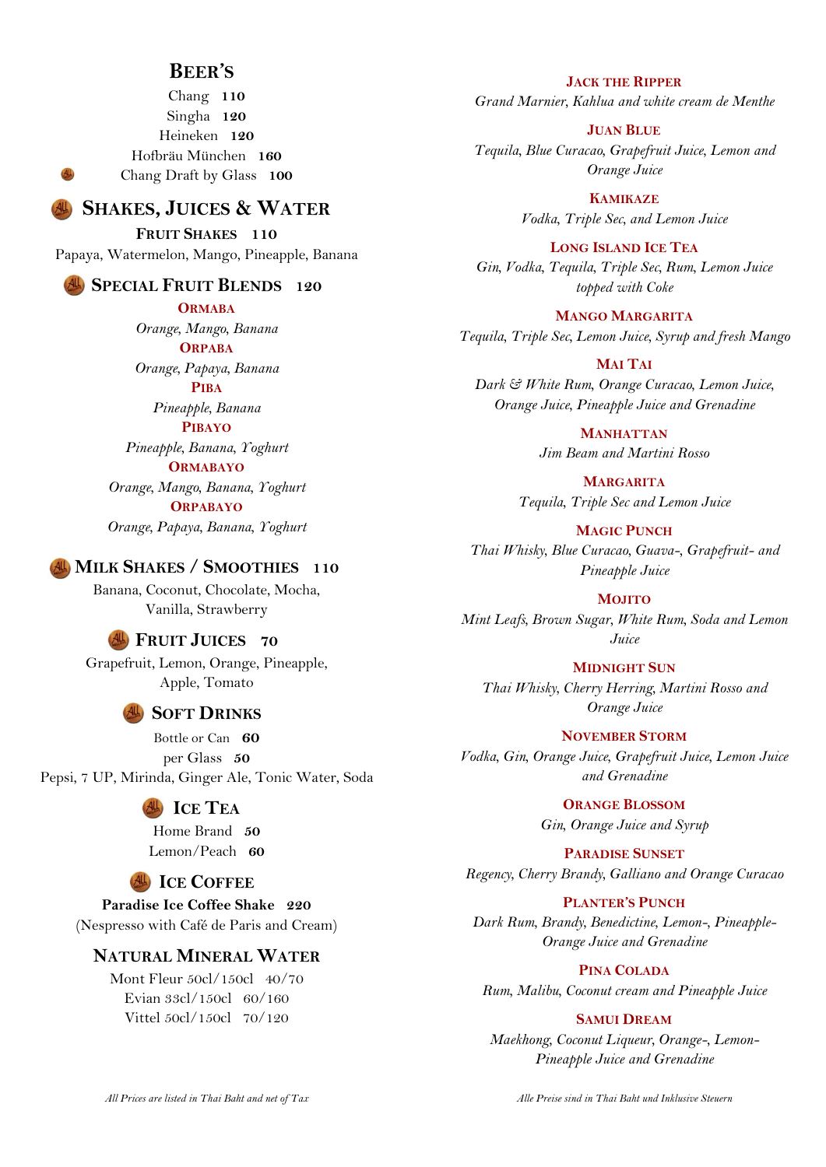# **BEER'S**

Chang **110** Singha **120** Heineken **120** Hofbräu München **160** Chang Draft by Glass **100**

# **SHAKES, JUICES & WATER**

**FRUIT SHAKES 110** Papaya, Watermelon, Mango, Pineapple, Banana

# **SPECIAL FRUIT BLENDS 120**

**ORMABA** *Orange, Mango, Banana* **ORPABA**

*Orange, Papaya, Banana* **PIBA**

*Pineapple, Banana* **PIBAYO**

*Pineapple, Banana, Yoghurt* **ORMABAYO**

*Orange, Mango, Banana, Yoghurt* **ORPABAYO** *Orange, Papaya, Banana, Yoghurt*

#### **MILK SHAKES / SMOOTHIES 110**

Banana, Coconut, Chocolate, Mocha, Vanilla, Strawberry

#### **FRUIT JUICES 70**

Grapefruit, Lemon, Orange, Pineapple, Apple, Tomato

# **SOFT DRINKS**

Bottle or Can **60** per Glass **50** Pepsi, 7 UP, Mirinda, Ginger Ale, Tonic Water, Soda

# **ICE TEA**

Home Brand **50** Lemon/Peach **60**

# **ICE COFFEE**

**Paradise Ice Coffee Shake 220** (Nespresso with Café de Paris and Cream)

# **NATURAL MINERAL WATER**

Mont Fleur 50cl/150cl 40/70 Evian 33cl/150cl 60/160 Vittel 50cl/150cl 70/120

**JACK THE RIPPER**

*Grand Marnier, Kahlua and white cream de Menthe*

**JUAN BLUE**

*Tequila, Blue Curacao, Grapefruit Juice, Lemon and Orange Juice*

> **KAMIKAZE** *Vodka, Triple Sec, and Lemon Juice*

**LONG ISLAND ICE TEA** *Gin, Vodka, Tequila, Triple Sec, Rum, Lemon Juice topped with Coke*

**MANGO MARGARITA** *Tequila, Triple Sec, Lemon Juice, Syrup and fresh Mango*

**MAI TAI** *Dark & White Rum, Orange Curacao, Lemon Juice, Orange Juice, Pineapple Juice and Grenadine*

> **MANHATTAN** *Jim Beam and Martini Rosso*

**MARGARITA** *Tequila, Triple Sec and Lemon Juice*

**MAGIC PUNCH**

*Thai Whisky, Blue Curacao, Guava-, Grapefruit- and Pineapple Juice*

**MOJITO**

*Mint Leafs, Brown Sugar, White Rum, Soda and Lemon Juice*

**MIDNIGHT SUN**

*Thai Whisky, Cherry Herring, Martini Rosso and Orange Juice*

**NOVEMBER STORM** *Vodka, Gin, Orange Juice, Grapefruit Juice, Lemon Juice and Grenadine*

> **ORANGE BLOSSOM** *Gin, Orange Juice and Syrup*

**PARADISE SUNSET** *Regency, Cherry Brandy, Galliano and Orange Curacao*

**PLANTER'S PUNCH**

*Dark Rum, Brandy, Benedictine, Lemon-, Pineapple-Orange Juice and Grenadine*

**PINA COLADA** *Rum, Malibu, Coconut cream and Pineapple Juice*

#### **SAMUI DREAM**

*Maekhong, Coconut Liqueur, Orange-, Lemon-Pineapple Juice and Grenadine*

*Alle Preise sind in Thai Baht und Inklusive Steuern*